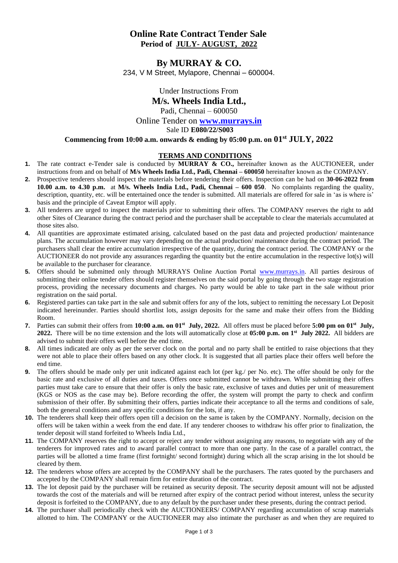## **Online Rate Contract Tender Sale Period of JULY- AUGUST, 2022**

## **By MURRAY & CO.** 234, V M Street, Mylapore, Chennai – 600004.

Under Instructions From **M/s. Wheels India Ltd.,** Padi, Chennai – 600050 Online Tender on **[www.murrays.in](http://www.murrays.in/)** Sale ID **E080/22/S003 Commencing from 10:00 a.m. onwards & ending by 05:00 p.m. on 01st JULY, 2022**

## **TERMS AND CONDITIONS**

- **1.** The rate contract e-Tender sale is conducted by **MURRAY & CO.,** hereinafter known as the AUCTIONEER, under instructions from and on behalf of **M/s Wheels India Ltd., Padi, Chennai – 600050** hereinafter known as the COMPANY.
- **2.** Prospective tenderers should inspect the materials before tendering their offers. Inspection can be had on **30-06-2022 from 10.00 a.m. to 4.30 p.m.** at **M/s. Wheels India Ltd., Padi, Chennai – 600 050**. No complaints regarding the quality, description, quantity, etc. will be entertained once the tender is submitted. All materials are offered for sale in 'as is where is' basis and the principle of Caveat Emptor will apply.
- **3.** All tenderers are urged to inspect the materials prior to submitting their offers. The COMPANY reserves the right to add other Sites of Clearance during the contract period and the purchaser shall be acceptable to clear the materials accumulated at those sites also.
- **4.** All quantities are approximate estimated arising, calculated based on the past data and projected production/ maintenance plans. The accumulation however may vary depending on the actual production/ maintenance during the contract period. The purchasers shall clear the entire accumulation irrespective of the quantity, during the contract period. The COMPANY or the AUCTIONEER do not provide any assurances regarding the quantity but the entire accumulation in the respective lot(s) will be available to the purchaser for clearance.
- **5.** Offers should be submitted only through MURRAYS Online Auction Portal [www.murrays.in.](http://www.murrays.in/) All parties desirous of submitting their online tender offers should register themselves on the said portal by going through the two stage registration process, providing the necessary documents and charges. No party would be able to take part in the sale without prior registration on the said portal.
- **6.** Registered parties can take part in the sale and submit offers for any of the lots, subject to remitting the necessary Lot Deposit indicated hereinunder. Parties should shortlist lots, assign deposits for the same and make their offers from the Bidding Room.
- **7.** Parties can submit their offers from **10:00 a.m. on 01st July, 2022.** All offers must be placed before **5:00 pm on 01 st July, 2022.** There will be no time extension and the lots will automatically close at **05:00 p.m. on 1 st July 2022.** All bidders are advised to submit their offers well before the end time.
- **8.** All times indicated are only as per the server clock on the portal and no party shall be entitled to raise objections that they were not able to place their offers based on any other clock. It is suggested that all parties place their offers well before the end time.
- **9.** The offers should be made only per unit indicated against each lot (per kg./ per No. etc). The offer should be only for the basic rate and exclusive of all duties and taxes. Offers once submitted cannot be withdrawn. While submitting their offers parties must take care to ensure that their offer is only the basic rate, exclusive of taxes and duties per unit of measurement (KGS or NOS as the case may be). Before recording the offer, the system will prompt the party to check and confirm submission of their offer. By submitting their offers, parties indicate their acceptance to all the terms and conditions of sale, both the general conditions and any specific conditions for the lots, if any.
- **10.** The tenderers shall keep their offers open till a decision on the same is taken by the COMPANY. Normally, decision on the offers will be taken within a week from the end date. If any tenderer chooses to withdraw his offer prior to finalization, the tender deposit will stand forfeited to Wheels India Ltd.,
- **11.** The COMPANY reserves the right to accept or reject any tender without assigning any reasons, to negotiate with any of the tenderers for improved rates and to award parallel contract to more than one party. In the case of a parallel contract, the parties will be allotted a time frame (first fortnight/ second fortnight) during which all the scrap arising in the lot should be cleared by them.
- **12.** The tenderers whose offers are accepted by the COMPANY shall be the purchasers. The rates quoted by the purchasers and accepted by the COMPANY shall remain firm for entire duration of the contract.
- **13.** The lot deposit paid by the purchaser will be retained as security deposit. The security deposit amount will not be adjusted towards the cost of the materials and will be returned after expiry of the contract period without interest, unless the security deposit is forfeited to the COMPANY, due to any default by the purchaser under these presents, during the contract period.
- **14.** The purchaser shall periodically check with the AUCTIONEERS/ COMPANY regarding accumulation of scrap materials allotted to him. The COMPANY or the AUCTIONEER may also intimate the purchaser as and when they are required to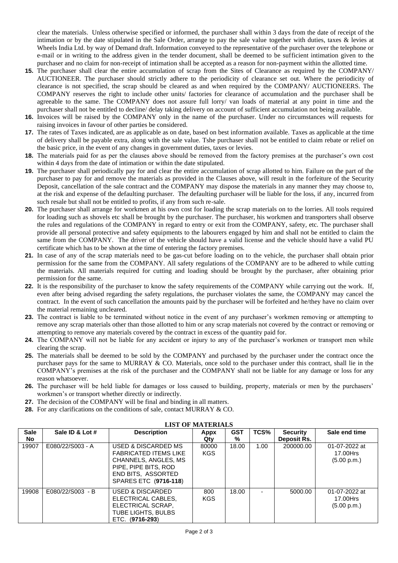clear the materials. Unless otherwise specified or informed, the purchaser shall within 3 days from the date of receipt of the intimation or by the date stipulated in the Sale Order, arrange to pay the sale value together with duties, taxes & levies at Wheels India Ltd. by way of Demand draft. Information conveyed to the representative of the purchaser over the telephone or e-mail or in writing to the address given in the tender document, shall be deemed to be sufficient intimation given to the purchaser and no claim for non-receipt of intimation shall be accepted as a reason for non-payment within the allotted time.

- **15.** The purchaser shall clear the entire accumulation of scrap from the Sites of Clearance as required by the COMPANY/ AUCTIONEER. The purchaser should strictly adhere to the periodicity of clearance set out. Where the periodicity of clearance is not specified, the scrap should be cleared as and when required by the COMPANY/ AUCTIONEERS. The COMPANY reserves the right to include other units/ factories for clearance of accumulation and the purchaser shall be agreeable to the same. The COMPANY does not assure full lorry/ van loads of material at any point in time and the purchaser shall not be entitled to decline/ delay taking delivery on account of sufficient accumulation not being available.
- **16.** Invoices will be raised by the COMPANY only in the name of the purchaser. Under no circumstances will requests for raising invoices in favour of other parties be considered.
- **17.** The rates of Taxes indicated, are as applicable as on date, based on best information available. Taxes as applicable at the time of delivery shall be payable extra, along with the sale value. Tshe purchaser shall not be entitled to claim rebate or relief on the basic price, in the event of any changes in government duties, taxes or levies.
- **18.** The materials paid for as per the clauses above should be removed from the factory premises at the purchaser's own cost within 4 days from the date of intimation or within the date stipulated.
- **19.** The purchaser shall periodically pay for and clear the entire accumulation of scrap allotted to him. Failure on the part of the purchaser to pay for and remove the materials as provided in the Clauses above, will result in the forfeiture of the Security Deposit, cancellation of the sale contract and the COMPANY may dispose the materials in any manner they may choose to, at the risk and expense of the defaulting purchaser. The defaulting purchaser will be liable for the loss, if any, incurred from such resale but shall not be entitled to profits, if any from such re-sale.
- **20.** The purchaser shall arrange for workmen at his own cost for loading the scrap materials on to the lorries. All tools required for loading such as shovels etc shall be brought by the purchaser. The purchaser, his workmen and transporters shall observe the rules and regulations of the COMPANY in regard to entry or exit from the COMPANY, safety, etc. The purchaser shall provide all personal protective and safety equipments to the labourers engaged by him and shall not be entitled to claim the same from the COMPANY. The driver of the vehicle should have a valid license and the vehicle should have a valid PU certificate which has to be shown at the time of entering the factory premises.
- **21.** In case of any of the scrap materials need to be gas-cut before loading on to the vehicle, the purchaser shall obtain prior permission for the same from the COMPANY. All safety regulations of the COMPANY are to be adhered to while cutting the materials. All materials required for cutting and loading should be brought by the purchaser, after obtaining prior permission for the same.
- **22.** It is the responsibility of the purchaser to know the safety requirements of the COMPANY while carrying out the work. If, even after being advised regarding the safety regulations, the purchaser violates the same, the COMPANY may cancel the contract. In the event of such cancellation the amounts paid by the purchaser will be forfeited and he/they have no claim over the material remaining uncleared.
- **23.** The contract is liable to be terminated without notice in the event of any purchaser's workmen removing or attempting to remove any scrap materials other than those allotted to him or any scrap materials not covered by the contract or removing or attempting to remove any materials covered by the contract in excess of the quantity paid for.
- **24.** The COMPANY will not be liable for any accident or injury to any of the purchaser's workmen or transport men while clearing the scrap.
- **25.** The materials shall be deemed to be sold by the COMPANY and purchased by the purchaser under the contract once the purchaser pays for the same to MURRAY & CO. Materials, once sold to the purchaser under this contract, shall lie in the COMPANY's premises at the risk of the purchaser and the COMPANY shall not be liable for any damage or loss for any reason whatsoever.
- **26.** The purchaser will be held liable for damages or loss caused to building, property, materials or men by the purchasers' workmen's or transport whether directly or indirectly.
- **27.** The decision of the COMPANY will be final and binding in all matters.
- **28.** For any clarifications on the conditions of sale, contact MURRAY & CO.

| <b>Sale</b> | Sale ID & Lot #  | <b>Description</b>                                                                                                                                               | Appx                | <b>GST</b> | TCS%                     | <b>Security</b> | Sale end time                            |
|-------------|------------------|------------------------------------------------------------------------------------------------------------------------------------------------------------------|---------------------|------------|--------------------------|-----------------|------------------------------------------|
| No.         |                  |                                                                                                                                                                  | Qty                 | %          |                          | Deposit Rs.     |                                          |
| 19907       | E080/22/S003 - A | USED & DISCARDED MS<br><b>FABRICATED ITEMS LIKE</b><br>CHANNELS, ANGLES, MS<br>PIPE, PIPE BITS, ROD<br><b>END BITS, ASSORTED</b><br><b>SPARES ETC (9716-118)</b> | 80000<br><b>KGS</b> | 18.00      | 1.00                     | 200000.00       | 01-07-2022 at<br>17.00Hrs<br>(5.00 p.m.) |
| 19908       | E080/22/S003 - B | USED & DISCARDED<br>ELECTRICAL CABLES,<br>ELECTRICAL SCRAP.<br>TUBE LIGHTS, BULBS<br>ETC. (9716-293)                                                             | 800<br><b>KGS</b>   | 18.00      | $\overline{\phantom{0}}$ | 5000.00         | 01-07-2022 at<br>17.00Hrs<br>(5.00 p.m.) |

## **LIST OF MATERIALS**